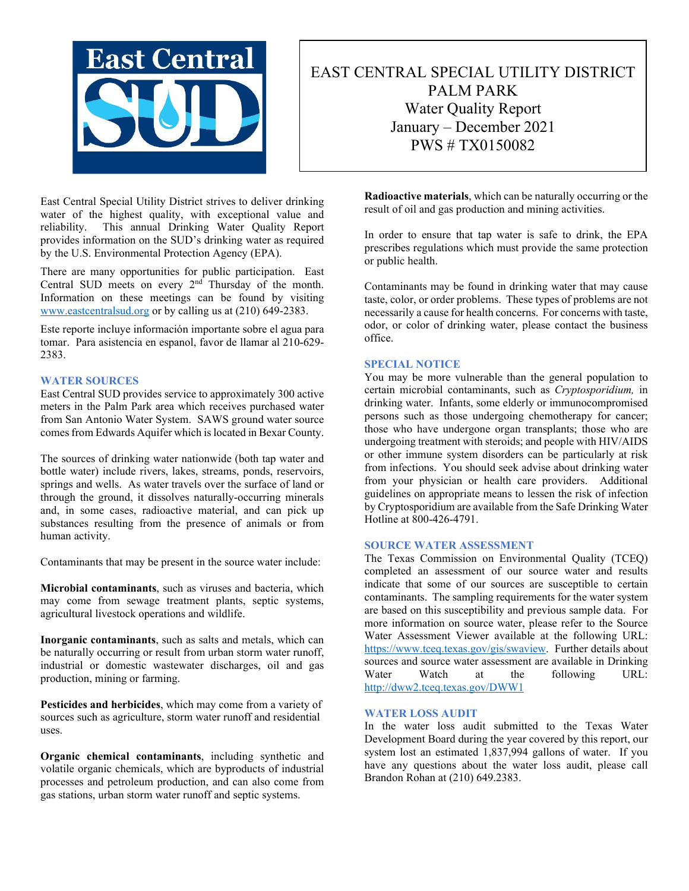

# EAST CENTRAL SPECIAL UTILITY DISTRICT PALM PARK Water Quality Report January – December 2021 PWS # TX0150082

East Central Special Utility District strives to deliver drinking water of the highest quality, with exceptional value and reliability. This annual Drinking Water Quality Report provides information on the SUD's drinking water as required by the U.S. Environmental Protection Agency (EPA).

There are many opportunities for public participation. East Central SUD meets on every  $2<sup>nd</sup>$  Thursday of the month. Information on these meetings can be found by visiting [www.eastcentralsud.org](http://www.eastcentralsud.org/) or by calling us at (210) 649-2383.

Este reporte incluye información importante sobre el agua para tomar. Para asistencia en espanol, favor de llamar al 210-629- 2383.

### **WATER SOURCES**

East Central SUD provides service to approximately 300 active meters in the Palm Park area which receives purchased water from San Antonio Water System. SAWS ground water source comes from Edwards Aquifer which is located in Bexar County.

The sources of drinking water nationwide (both tap water and bottle water) include rivers, lakes, streams, ponds, reservoirs, springs and wells. As water travels over the surface of land or through the ground, it dissolves naturally-occurring minerals and, in some cases, radioactive material, and can pick up substances resulting from the presence of animals or from human activity.

Contaminants that may be present in the source water include:

**Microbial contaminants**, such as viruses and bacteria, which may come from sewage treatment plants, septic systems, agricultural livestock operations and wildlife.

**Inorganic contaminants**, such as salts and metals, which can be naturally occurring or result from urban storm water runoff, industrial or domestic wastewater discharges, oil and gas production, mining or farming.

**Pesticides and herbicides**, which may come from a variety of sources such as agriculture, storm water runoff and residential uses.

**Organic chemical contaminants**, including synthetic and volatile organic chemicals, which are byproducts of industrial processes and petroleum production, and can also come from gas stations, urban storm water runoff and septic systems.

**Radioactive materials**, which can be naturally occurring or the result of oil and gas production and mining activities.

In order to ensure that tap water is safe to drink, the EPA prescribes regulations which must provide the same protection or public health.

Contaminants may be found in drinking water that may cause taste, color, or order problems. These types of problems are not necessarily a cause for health concerns. For concerns with taste, odor, or color of drinking water, please contact the business office.

### **SPECIAL NOTICE**

You may be more vulnerable than the general population to certain microbial contaminants, such as *Cryptosporidium,* in drinking water. Infants, some elderly or immunocompromised persons such as those undergoing chemotherapy for cancer; those who have undergone organ transplants; those who are undergoing treatment with steroids; and people with HIV/AIDS or other immune system disorders can be particularly at risk from infections. You should seek advise about drinking water from your physician or health care providers. Additional guidelines on appropriate means to lessen the risk of infection by Cryptosporidium are available from the Safe Drinking Water Hotline at 800-426-4791.

## **SOURCE WATER ASSESSMENT**

The Texas Commission on Environmental Quality (TCEQ) completed an assessment of our source water and results indicate that some of our sources are susceptible to certain contaminants. The sampling requirements for the water system are based on this susceptibility and previous sample data. For more information on source water, please refer to the Source Water Assessment Viewer available at the following URL: [https://www.tceq.texas.gov/gis/swaview.](https://www.tceq.texas.gov/gis/swaview) Further details about sources and source water assessment are available in Drinking Water Watch at the following URL: <http://dww2.tceq.texas.gov/DWW1>

### **WATER LOSS AUDIT**

In the water loss audit submitted to the Texas Water Development Board during the year covered by this report, our system lost an estimated 1,837,994 gallons of water. If you have any questions about the water loss audit, please call Brandon Rohan at (210) 649.2383.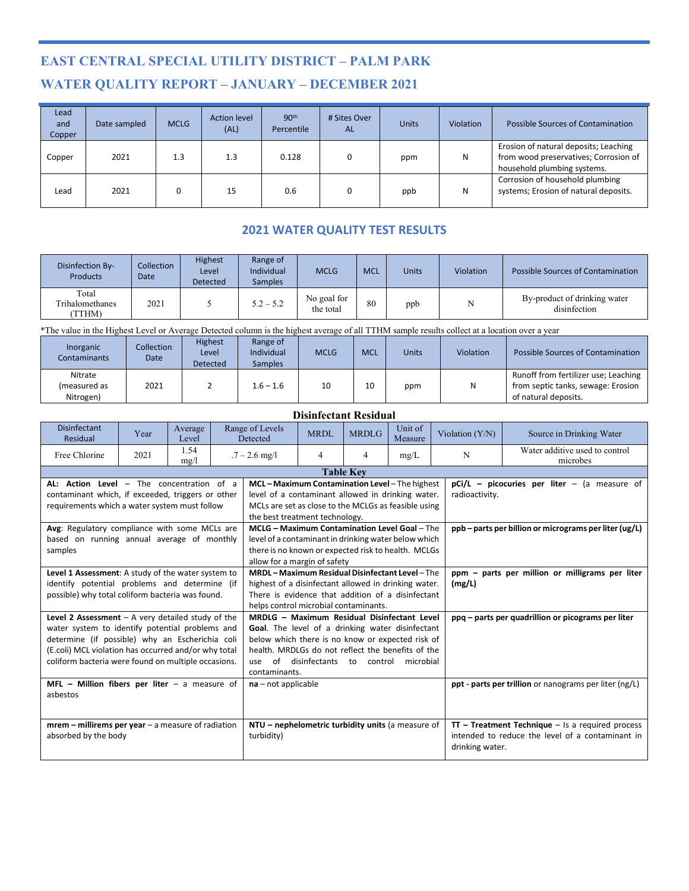# **EAST CENTRAL SPECIAL UTILITY DISTRICT – PALM PARK WATER QUALITY REPORT – JANUARY – DECEMBER 2021**

| Lead<br>and<br>Copper | Date sampled | <b>MCLG</b> | <b>Action level</b><br>(AL) | 90 <sup>th</sup><br>Percentile | # Sites Over<br><b>AL</b> | <b>Units</b> | Violation | <b>Possible Sources of Contamination</b>                                                                      |
|-----------------------|--------------|-------------|-----------------------------|--------------------------------|---------------------------|--------------|-----------|---------------------------------------------------------------------------------------------------------------|
| Copper                | 2021         | 1.3         | 1.3                         | 0.128                          |                           | ppm          | N         | Erosion of natural deposits; Leaching<br>from wood preservatives; Corrosion of<br>household plumbing systems. |
| Lead                  | 2021         |             | 15                          | 0.6                            |                           | ppb          | N         | Corrosion of household plumbing<br>systems; Erosion of natural deposits.                                      |

## **2021 WATER QUALITY TEST RESULTS**

| Disinfection By-<br><b>Products</b>       | Collection<br>Date | Highest<br>Level<br><b>Detected</b> | Range of<br>Individual<br><b>Samples</b> | <b>MCLG</b>              | <b>MCL</b> | <b>Units</b> | Violation | Possible Sources of Contamination            |
|-------------------------------------------|--------------------|-------------------------------------|------------------------------------------|--------------------------|------------|--------------|-----------|----------------------------------------------|
| Total<br><b>Trihalomethanes</b><br>(TTHM) | 2021               |                                     | $5.2 - 5.2$                              | No goal for<br>the total | 80         | ppb          |           | By-product of drinking water<br>disinfection |

\*The value in the Highest Level or Average Detected column is the highest average of all TTHM sample results collect at a location over a year

| Inorganic<br><b>Contaminants</b>     | <b>Collection</b><br>Date | <b>Highest</b><br>Level<br><b>Detected</b> | Range of<br>Individual<br><b>Samples</b> | <b>MCLG</b> | <b>MCL</b> | <b>Units</b> | Violation | Possible Sources of Contamination                                                                  |
|--------------------------------------|---------------------------|--------------------------------------------|------------------------------------------|-------------|------------|--------------|-----------|----------------------------------------------------------------------------------------------------|
| Nitrate<br>(measured as<br>Nitrogen) | 2021                      |                                            | $1.6 - 1.6$                              | 10          | 10         | ppm          | Ν         | Runoff from fertilizer use; Leaching<br>from septic tanks, sewage: Erosion<br>of natural deposits. |

## **Disinfectant Residual**

| <b>Disinfectant</b><br>Residual                       | Year                  | Average<br>Level | Range of Levels<br>Detected                                                       |                                                         | MRDL | <b>MRDLG</b>                                           | Unit of<br>Measure | Violation (Y/N) | Source in Drinking Water                             |  |
|-------------------------------------------------------|-----------------------|------------------|-----------------------------------------------------------------------------------|---------------------------------------------------------|------|--------------------------------------------------------|--------------------|-----------------|------------------------------------------------------|--|
| Free Chlorine                                         | 2021                  | 1.54<br>mg/l     |                                                                                   | $.7 - 2.6$ mg/l                                         | 4    | 4                                                      | mg/L               | N               | Water additive used to control<br>microbes           |  |
|                                                       |                       |                  |                                                                                   |                                                         |      | <b>Table Kev</b>                                       |                    |                 |                                                      |  |
| AL: Action Level - The concentration of a             |                       |                  |                                                                                   | MCL-Maximum Contamination Level-The highest             |      |                                                        |                    |                 | $pCi/L$ – picocuries per liter – (a measure of       |  |
| contaminant which, if exceeded, triggers or other     |                       |                  |                                                                                   | level of a contaminant allowed in drinking water.       |      |                                                        |                    | radioactivity.  |                                                      |  |
| requirements which a water system must follow         |                       |                  |                                                                                   | MCLs are set as close to the MCLGs as feasible using    |      |                                                        |                    |                 |                                                      |  |
|                                                       |                       |                  |                                                                                   | the best treatment technology.                          |      |                                                        |                    |                 |                                                      |  |
| Avg: Regulatory compliance with some MCLs are         |                       |                  |                                                                                   | <b>MCLG - Maximum Contamination Level Goal - The</b>    |      |                                                        |                    |                 | ppb-parts per billion or micrograms per liter (ug/L) |  |
| based on running annual average of monthly            |                       |                  |                                                                                   | level of a contaminant in drinking water below which    |      |                                                        |                    |                 |                                                      |  |
| samples                                               |                       |                  |                                                                                   | there is no known or expected risk to health. MCLGs     |      |                                                        |                    |                 |                                                      |  |
|                                                       |                       |                  |                                                                                   | allow for a margin of safety                            |      |                                                        |                    |                 |                                                      |  |
| Level 1 Assessment: A study of the water system to    |                       |                  |                                                                                   | <b>MRDL-Maximum Residual Disinfectant Level-The</b>     |      |                                                        |                    |                 | ppm - parts per million or milligrams per liter      |  |
| identify potential problems and determine (if         |                       |                  |                                                                                   | highest of a disinfectant allowed in drinking water.    |      |                                                        |                    | (mg/L)          |                                                      |  |
| possible) why total coliform bacteria was found.      |                       |                  |                                                                                   | There is evidence that addition of a disinfectant       |      |                                                        |                    |                 |                                                      |  |
|                                                       |                       |                  |                                                                                   | helps control microbial contaminants.                   |      |                                                        |                    |                 |                                                      |  |
| Level 2 Assessment $-$ A very detailed study of the   |                       |                  |                                                                                   | MRDLG - Maximum Residual Disinfectant Level             |      |                                                        |                    |                 | ppq - parts per quadrillion or picograms per liter   |  |
| water system to identify potential problems and       |                       |                  |                                                                                   | <b>Goal.</b> The level of a drinking water disinfectant |      |                                                        |                    |                 |                                                      |  |
| determine (if possible) why an Escherichia coli       |                       |                  |                                                                                   | below which there is no know or expected risk of        |      |                                                        |                    |                 |                                                      |  |
| (E.coli) MCL violation has occurred and/or why total  |                       |                  |                                                                                   | health. MRDLGs do not reflect the benefits of the       |      |                                                        |                    |                 |                                                      |  |
| coliform bacteria were found on multiple occasions.   |                       |                  |                                                                                   | use                                                     |      | of disinfectants to control                            | microbial          |                 |                                                      |  |
| MFL - Million fibers per liter - a measure of         | contaminants.         |                  |                                                                                   |                                                         |      |                                                        |                    |                 |                                                      |  |
| asbestos                                              | $na - not applicable$ |                  |                                                                                   |                                                         |      | ppt - parts per trillion or nanograms per liter (ng/L) |                    |                 |                                                      |  |
|                                                       |                       |                  |                                                                                   |                                                         |      |                                                        |                    |                 |                                                      |  |
|                                                       |                       |                  |                                                                                   |                                                         |      |                                                        |                    |                 |                                                      |  |
| $m$ rem – millirems per year – a measure of radiation |                       |                  |                                                                                   | NTU – nephelometric turbidity units (a measure of       |      |                                                        |                    |                 | $TT$ – Treatment Technique – Is a required process   |  |
| absorbed by the body                                  |                       |                  | turbidity)<br>intended to reduce the level of a contaminant in<br>drinking water. |                                                         |      |                                                        |                    |                 |                                                      |  |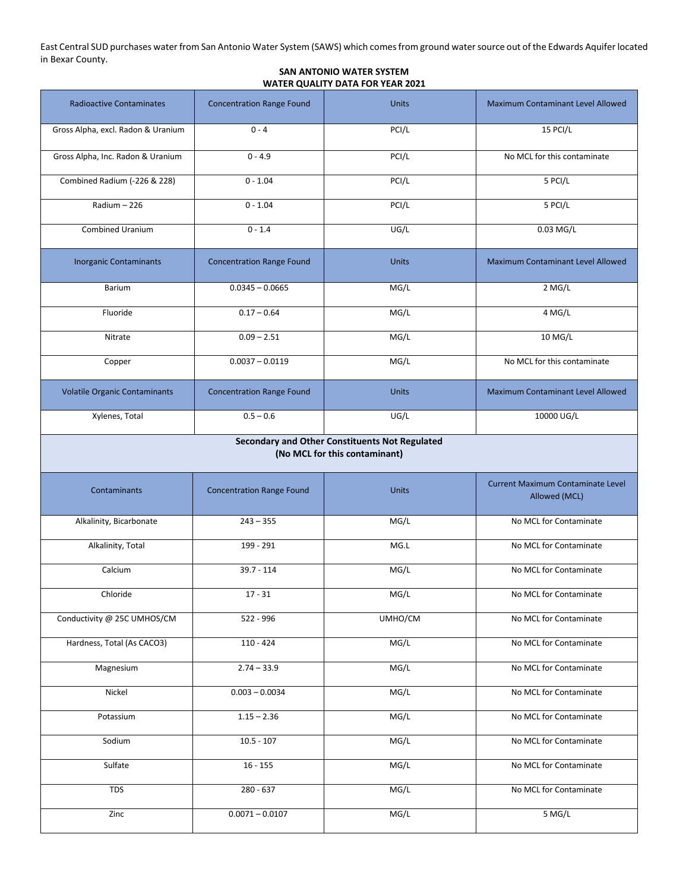East Central SUD purchases water from San Antonio Water System (SAWS) which comes from ground water source out of the Edwards Aquifer located in Bexar County.

### **SAN ANTONIO WATER SYSTEM WATER QUALITY DATA FOR YEAR 2021**

| <b>Radioactive Contaminates</b>                                                 | <b>Concentration Range Found</b> | <b>Units</b> | Maximum Contaminant Level Allowed                  |  |  |  |  |  |  |
|---------------------------------------------------------------------------------|----------------------------------|--------------|----------------------------------------------------|--|--|--|--|--|--|
| Gross Alpha, excl. Radon & Uranium                                              | $0 - 4$                          | PCI/L        | 15 PCI/L                                           |  |  |  |  |  |  |
| Gross Alpha, Inc. Radon & Uranium                                               | $0 - 4.9$                        | PCI/L        | No MCL for this contaminate                        |  |  |  |  |  |  |
| Combined Radium (-226 & 228)                                                    | $0 - 1.04$                       | PCI/L        | 5 PCI/L                                            |  |  |  |  |  |  |
| $Radium - 226$                                                                  | $0 - 1.04$                       | PCI/L        | 5 PCI/L                                            |  |  |  |  |  |  |
| Combined Uranium                                                                | $0 - 1.4$                        | UG/L         | 0.03 MG/L                                          |  |  |  |  |  |  |
| <b>Inorganic Contaminants</b>                                                   | <b>Concentration Range Found</b> | <b>Units</b> | Maximum Contaminant Level Allowed                  |  |  |  |  |  |  |
| Barium                                                                          | $0.0345 - 0.0665$                | MG/L         | $2$ MG/L                                           |  |  |  |  |  |  |
| Fluoride                                                                        | $0.17 - 0.64$                    | MG/L         | 4 MG/L                                             |  |  |  |  |  |  |
| Nitrate                                                                         | $0.09 - 2.51$                    | MG/L         | 10 MG/L                                            |  |  |  |  |  |  |
| Copper                                                                          | $0.0037 - 0.0119$                | MG/L         | No MCL for this contaminate                        |  |  |  |  |  |  |
| <b>Volatile Organic Contaminants</b>                                            | <b>Concentration Range Found</b> | <b>Units</b> | <b>Maximum Contaminant Level Allowed</b>           |  |  |  |  |  |  |
| Xylenes, Total                                                                  | $0.5 - 0.6$                      | UG/L         | 10000 UG/L                                         |  |  |  |  |  |  |
| Secondary and Other Constituents Not Regulated<br>(No MCL for this contaminant) |                                  |              |                                                    |  |  |  |  |  |  |
| Contaminants                                                                    | <b>Concentration Range Found</b> | <b>Units</b> | Current Maximum Contaminate Level<br>Allowed (MCL) |  |  |  |  |  |  |
| Alkalinity, Bicarbonate                                                         | $243 - 355$                      | MG/L         | No MCL for Contaminate                             |  |  |  |  |  |  |
| Alkalinity, Total                                                               | 199 - 291                        | MG.L         | No MCL for Contaminate                             |  |  |  |  |  |  |
| Calcium                                                                         | $39.7 - 114$                     | MG/L         | No MCL for Contaminate                             |  |  |  |  |  |  |
| Chloride                                                                        | $17 - 31$                        | MG/L         | No MCL for Contaminate                             |  |  |  |  |  |  |
| Conductivity @ 25C UMHOS/CM                                                     | 522 - 996                        | UMHO/CM      | No MCL for Contaminate                             |  |  |  |  |  |  |
| Hardness, Total (As CACO3)                                                      | $110 - 424$                      | MG/L         | No MCL for Contaminate                             |  |  |  |  |  |  |
| Magnesium                                                                       | $2.74 - 33.9$                    | MG/L         | No MCL for Contaminate                             |  |  |  |  |  |  |
| Nickel                                                                          | $0.003 - 0.0034$                 | MG/L         | No MCL for Contaminate                             |  |  |  |  |  |  |
| Potassium                                                                       | $1.15 - 2.36$                    | MG/L         | No MCL for Contaminate                             |  |  |  |  |  |  |
| Sodium                                                                          | $10.5 - 107$                     | MG/L         | No MCL for Contaminate                             |  |  |  |  |  |  |
| Sulfate                                                                         | $16 - 155$                       | MG/L         | No MCL for Contaminate                             |  |  |  |  |  |  |
| <b>TDS</b>                                                                      | 280 - 637                        | MG/L         | No MCL for Contaminate                             |  |  |  |  |  |  |
| Zinc                                                                            | $0.0071 - 0.0107$                | MG/L         | 5 MG/L                                             |  |  |  |  |  |  |